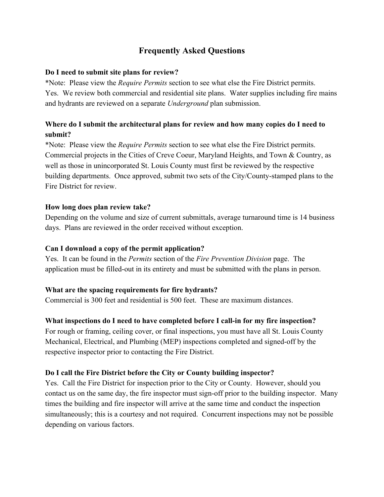# **Frequently Asked Questions**

#### **Do I need to submit site plans for review?**

\*Note: Please view the *Require Permits* section to see what else the Fire District permits. Yes. We review both commercial and residential site plans. Water supplies including fire mains and hydrants are reviewed on a separate *Underground* plan submission.

## **Where do I submit the architectural plans for review and how many copies do I need to submit?**

\*Note: Please view the *Require Permits* section to see what else the Fire District permits. Commercial projects in the Cities of Creve Coeur, Maryland Heights, and Town & Country, as well as those in unincorporated St. Louis County must first be reviewed by the respective building departments. Once approved, submit two sets of the City/County-stamped plans to the Fire District for review.

#### **How long does plan review take?**

Depending on the volume and size of current submittals, average turnaround time is 14 business days. Plans are reviewed in the order received without exception.

#### **Can I download a copy of the permit application?**

Yes. It can be found in the *Permits* section of the *Fire Prevention Division* page. The application must be filled-out in its entirety and must be submitted with the plans in person.

#### **What are the spacing requirements for fire hydrants?**

Commercial is 300 feet and residential is 500 feet. These are maximum distances.

#### **What inspections do I need to have completed before I call-in for my fire inspection?**

For rough or framing, ceiling cover, or final inspections, you must have all St. Louis County Mechanical, Electrical, and Plumbing (MEP) inspections completed and signed-off by the respective inspector prior to contacting the Fire District.

#### **Do I call the Fire District before the City or County building inspector?**

Yes. Call the Fire District for inspection prior to the City or County. However, should you contact us on the same day, the fire inspector must sign-off prior to the building inspector. Many times the building and fire inspector will arrive at the same time and conduct the inspection simultaneously; this is a courtesy and not required. Concurrent inspections may not be possible depending on various factors.